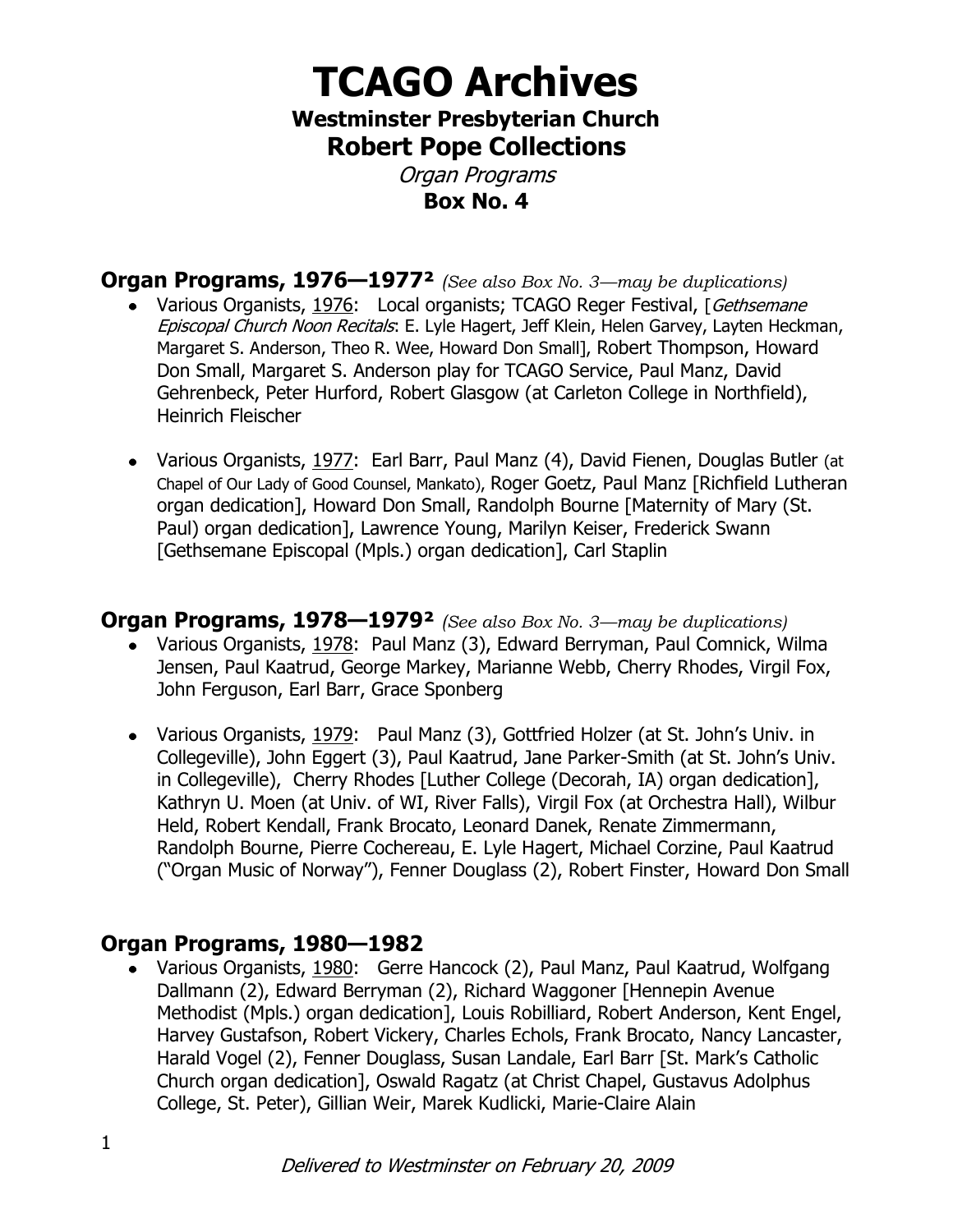# **TCAGO Archives Westminster Presbyterian Church**

**Robert Pope Collections**

Organ Programs **Box No. 4**

**Organ Programs, 1976—1977²** *(See also Box No. 3—may be duplications)* • Various Organists, 1976: Local organists; TCAGO Reger Festival, [Gethsemane] Episcopal Church Noon Recitals: E. Lyle Hagert, Jeff Klein, Helen Garvey, Layten Heckman, Margaret S. Anderson, Theo R. Wee, Howard Don Small], Robert Thompson, Howard Don Small, Margaret S. Anderson play for TCAGO Service, Paul Manz, David Gehrenbeck, Peter Hurford, Robert Glasgow (at Carleton College in Northfield), Heinrich Fleischer

• Various Organists, 1977: Earl Barr, Paul Manz (4), David Fienen, Douglas Butler (at Chapel of Our Lady of Good Counsel, Mankato), Roger Goetz, Paul Manz [Richfield Lutheran organ dedication], Howard Don Small, Randolph Bourne [Maternity of Mary (St. Paul) organ dedication], Lawrence Young, Marilyn Keiser, Frederick Swann [Gethsemane Episcopal (Mpls.) organ dedication], Carl Staplin

### **Organ Programs, 1978—1979²** *(See also Box No. 3—may be duplications)*

- Various Organists, 1978: Paul Manz (3), Edward Berryman, Paul Comnick, Wilma Jensen, Paul Kaatrud, George Markey, Marianne Webb, Cherry Rhodes, Virgil Fox, John Ferguson, Earl Barr, Grace Sponberg
- Various Organists, 1979: Paul Manz (3), Gottfried Holzer (at St. John's Univ. in Collegeville), John Eggert (3), Paul Kaatrud, Jane Parker-Smith (at St. John's Univ. in Collegeville), Cherry Rhodes [Luther College (Decorah, IA) organ dedication], Kathryn U. Moen (at Univ. of WI, River Falls), Virgil Fox (at Orchestra Hall), Wilbur Held, Robert Kendall, Frank Brocato, Leonard Danek, Renate Zimmermann, Randolph Bourne, Pierre Cochereau, E. Lyle Hagert, Michael Corzine, Paul Kaatrud ("Organ Music of Norway"), Fenner Douglass (2), Robert Finster, Howard Don Small

#### **Organ Programs, 1980—1982**

Various Organists, 1980: Gerre Hancock (2), Paul Manz, Paul Kaatrud, Wolfgang Dallmann (2), Edward Berryman (2), Richard Waggoner [Hennepin Avenue Methodist (Mpls.) organ dedication], Louis Robilliard, Robert Anderson, Kent Engel, Harvey Gustafson, Robert Vickery, Charles Echols, Frank Brocato, Nancy Lancaster, Harald Vogel (2), Fenner Douglass, Susan Landale, Earl Barr [St. Mark's Catholic Church organ dedication], Oswald Ragatz (at Christ Chapel, Gustavus Adolphus College, St. Peter), Gillian Weir, Marek Kudlicki, Marie-Claire Alain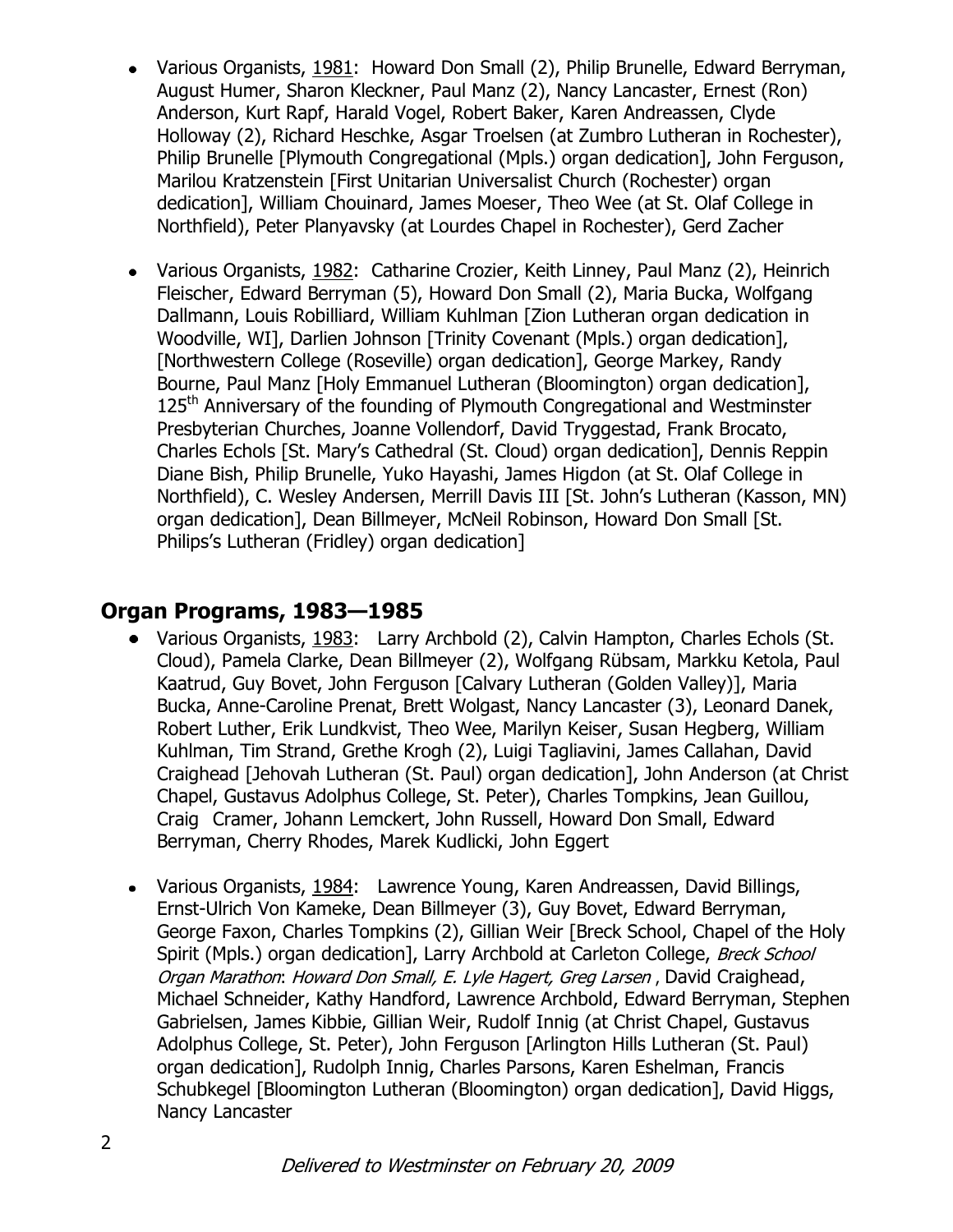- Various Organists, 1981: Howard Don Small (2), Philip Brunelle, Edward Berryman, August Humer, Sharon Kleckner, Paul Manz (2), Nancy Lancaster, Ernest (Ron) Anderson, Kurt Rapf, Harald Vogel, Robert Baker, Karen Andreassen, Clyde Holloway (2), Richard Heschke, Asgar Troelsen (at Zumbro Lutheran in Rochester), Philip Brunelle [Plymouth Congregational (Mpls.) organ dedication], John Ferguson, Marilou Kratzenstein [First Unitarian Universalist Church (Rochester) organ dedication], William Chouinard, James Moeser, Theo Wee (at St. Olaf College in Northfield), Peter Planyavsky (at Lourdes Chapel in Rochester), Gerd Zacher
- Various Organists, 1982: Catharine Crozier, Keith Linney, Paul Manz (2), Heinrich  $\bullet$ Fleischer, Edward Berryman (5), Howard Don Small (2), Maria Bucka, Wolfgang Dallmann, Louis Robilliard, William Kuhlman [Zion Lutheran organ dedication in Woodville, WI], Darlien Johnson [Trinity Covenant (Mpls.) organ dedication], [Northwestern College (Roseville) organ dedication], George Markey, Randy Bourne, Paul Manz [Holy Emmanuel Lutheran (Bloomington) organ dedication], 125<sup>th</sup> Anniversary of the founding of Plymouth Congregational and Westminster Presbyterian Churches, Joanne Vollendorf, David Tryggestad, Frank Brocato, Charles Echols [St. Mary's Cathedral (St. Cloud) organ dedication], Dennis Reppin Diane Bish, Philip Brunelle, Yuko Hayashi, James Higdon (at St. Olaf College in Northfield), C. Wesley Andersen, Merrill Davis III [St. John's Lutheran (Kasson, MN) organ dedication], Dean Billmeyer, McNeil Robinson, Howard Don Small [St. Philips's Lutheran (Fridley) organ dedication]

### **Organ Programs, 1983—1985**

- Various Organists, 1983: Larry Archbold (2), Calvin Hampton, Charles Echols (St. Cloud), Pamela Clarke, Dean Billmeyer (2), Wolfgang Rübsam, Markku Ketola, Paul Kaatrud, Guy Bovet, John Ferguson [Calvary Lutheran (Golden Valley)], Maria Bucka, Anne-Caroline Prenat, Brett Wolgast, Nancy Lancaster (3), Leonard Danek, Robert Luther, Erik Lundkvist, Theo Wee, Marilyn Keiser, Susan Hegberg, William Kuhlman, Tim Strand, Grethe Krogh (2), Luigi Tagliavini, James Callahan, David Craighead [Jehovah Lutheran (St. Paul) organ dedication], John Anderson (at Christ Chapel, Gustavus Adolphus College, St. Peter), Charles Tompkins, Jean Guillou, Craig Cramer, Johann Lemckert, John Russell, Howard Don Small, Edward Berryman, Cherry Rhodes, Marek Kudlicki, John Eggert
- Various Organists, 1984: Lawrence Young, Karen Andreassen, David Billings,  $\bullet$ Ernst-Ulrich Von Kameke, Dean Billmeyer (3), Guy Bovet, Edward Berryman, George Faxon, Charles Tompkins (2), Gillian Weir [Breck School, Chapel of the Holy Spirit (Mpls.) organ dedication], Larry Archbold at Carleton College, Breck School Organ Marathon: Howard Don Small, E. Lyle Hagert, Greg Larsen , David Craighead, Michael Schneider, Kathy Handford, Lawrence Archbold, Edward Berryman, Stephen Gabrielsen, James Kibbie, Gillian Weir, Rudolf Innig (at Christ Chapel, Gustavus Adolphus College, St. Peter), John Ferguson [Arlington Hills Lutheran (St. Paul) organ dedication], Rudolph Innig, Charles Parsons, Karen Eshelman, Francis Schubkegel [Bloomington Lutheran (Bloomington) organ dedication], David Higgs, Nancy Lancaster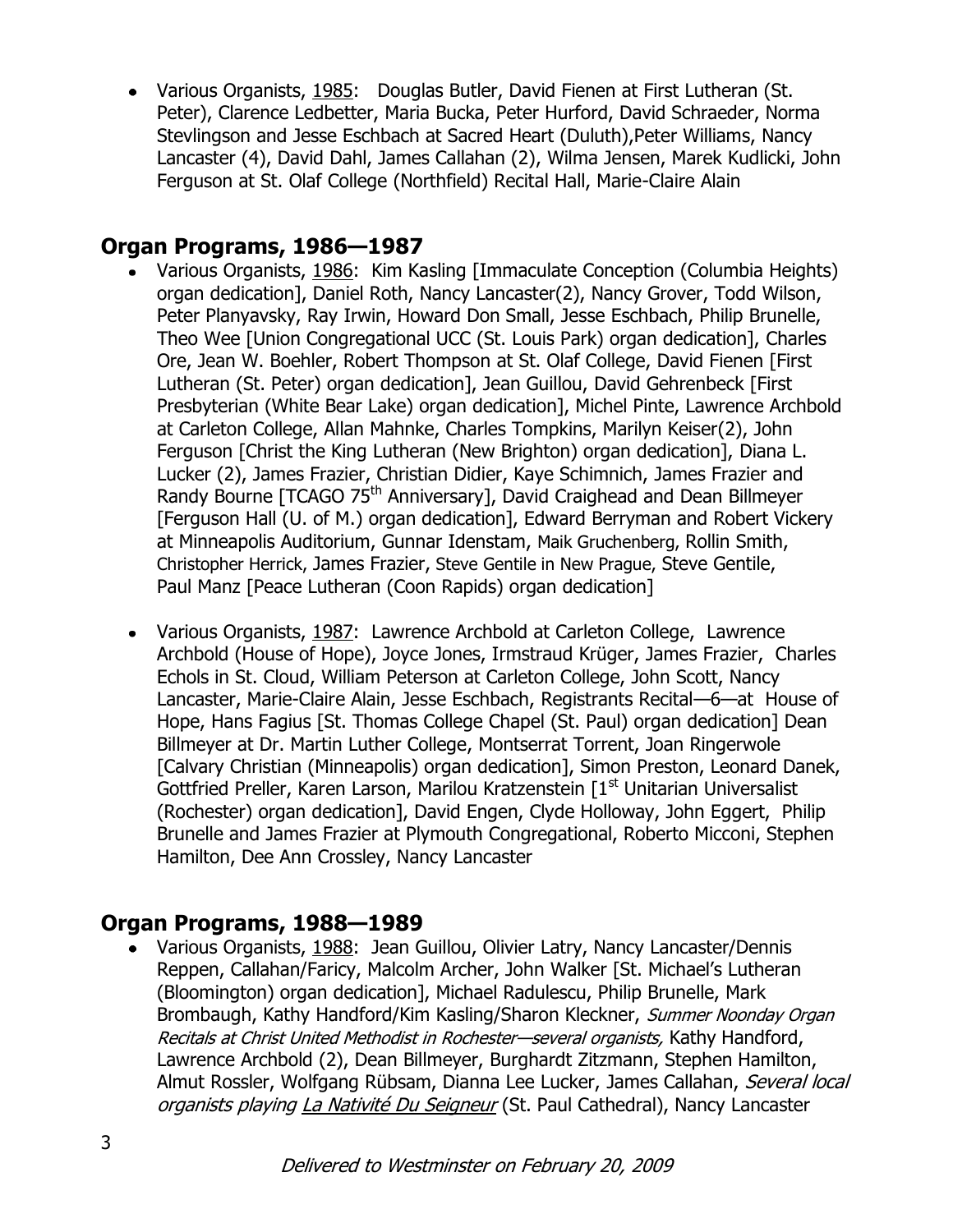• Various Organists, 1985: Douglas Butler, David Fienen at First Lutheran (St. Peter), Clarence Ledbetter, Maria Bucka, Peter Hurford, David Schraeder, Norma Stevlingson and Jesse Eschbach at Sacred Heart (Duluth),Peter Williams, Nancy Lancaster (4), David Dahl, James Callahan (2), Wilma Jensen, Marek Kudlicki, John Ferguson at St. Olaf College (Northfield) Recital Hall, Marie-Claire Alain

# **Organ Programs, 1986—1987**

- Various Organists, 1986: Kim Kasling [Immaculate Conception (Columbia Heights) organ dedication], Daniel Roth, Nancy Lancaster(2), Nancy Grover, Todd Wilson, Peter Planyavsky, Ray Irwin, Howard Don Small, Jesse Eschbach, Philip Brunelle, Theo Wee [Union Congregational UCC (St. Louis Park) organ dedication], Charles Ore, Jean W. Boehler, Robert Thompson at St. Olaf College, David Fienen [First Lutheran (St. Peter) organ dedication], Jean Guillou, David Gehrenbeck [First Presbyterian (White Bear Lake) organ dedication], Michel Pinte, Lawrence Archbold at Carleton College, Allan Mahnke, Charles Tompkins, Marilyn Keiser(2), John Ferguson [Christ the King Lutheran (New Brighton) organ dedication], Diana L. Lucker (2), James Frazier, Christian Didier, Kaye Schimnich, James Frazier and Randy Bourne [TCAGO 75<sup>th</sup> Anniversary], David Craighead and Dean Billmeyer [Ferguson Hall (U. of M.) organ dedication], Edward Berryman and Robert Vickery at Minneapolis Auditorium, Gunnar Idenstam, Maik Gruchenberg, Rollin Smith, Christopher Herrick, James Frazier, Steve Gentile in New Prague, Steve Gentile, Paul Manz [Peace Lutheran (Coon Rapids) organ dedication]
- Various Organists, 1987: Lawrence Archbold at Carleton College, Lawrence Archbold (House of Hope), Joyce Jones, Irmstraud Krüger, James Frazier, Charles Echols in St. Cloud, William Peterson at Carleton College, John Scott, Nancy Lancaster, Marie-Claire Alain, Jesse Eschbach, Registrants Recital—6—at House of Hope, Hans Fagius [St. Thomas College Chapel (St. Paul) organ dedication] Dean Billmeyer at Dr. Martin Luther College, Montserrat Torrent, Joan Ringerwole [Calvary Christian (Minneapolis) organ dedication], Simon Preston, Leonard Danek, Gottfried Preller, Karen Larson, Marilou Kratzenstein [1<sup>st</sup> Unitarian Universalist (Rochester) organ dedication], David Engen, Clyde Holloway, John Eggert, Philip Brunelle and James Frazier at Plymouth Congregational, Roberto Micconi, Stephen Hamilton, Dee Ann Crossley, Nancy Lancaster

# **Organ Programs, 1988—1989**

Various Organists, 1988: Jean Guillou, Olivier Latry, Nancy Lancaster/Dennis  $\bullet$ Reppen, Callahan/Faricy, Malcolm Archer, John Walker [St. Michael's Lutheran (Bloomington) organ dedication], Michael Radulescu, Philip Brunelle, Mark Brombaugh, Kathy Handford/Kim Kasling/Sharon Kleckner, Summer Noonday Organ Recitals at Christ United Methodist in Rochester—several organists, Kathy Handford, Lawrence Archbold (2), Dean Billmeyer, Burghardt Zitzmann, Stephen Hamilton, Almut Rossler, Wolfgang Rübsam, Dianna Lee Lucker, James Callahan, Several local organists playing La Nativité Du Seigneur (St. Paul Cathedral), Nancy Lancaster